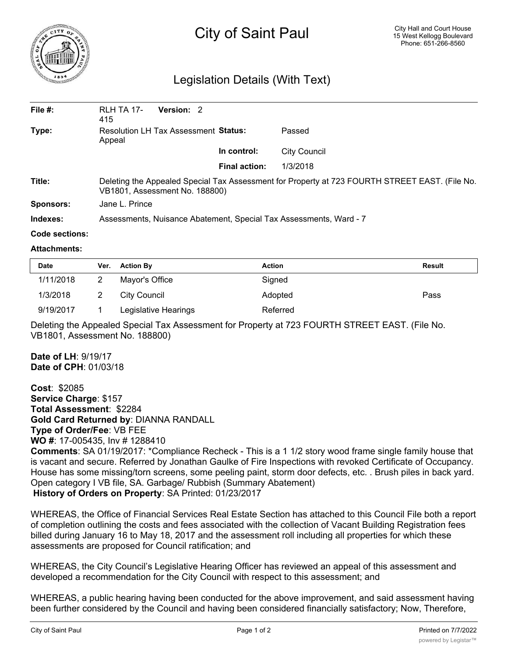

# City of Saint Paul

## Legislation Details (With Text)

| File #:   | Version: 2<br><b>RLH TA 17-</b><br>415                                                                                           |                      |              |  |  |
|-----------|----------------------------------------------------------------------------------------------------------------------------------|----------------------|--------------|--|--|
| Type:     | Resolution LH Tax Assessment Status:<br>Appeal                                                                                   |                      | Passed       |  |  |
|           |                                                                                                                                  | In control:          | City Council |  |  |
|           |                                                                                                                                  | <b>Final action:</b> | 1/3/2018     |  |  |
| Title:    | Deleting the Appealed Special Tax Assessment for Property at 723 FOURTH STREET EAST. (File No.<br>VB1801, Assessment No. 188800) |                      |              |  |  |
| Sponsors: | Jane L. Prince                                                                                                                   |                      |              |  |  |
| Indexes:  | Assessments, Nuisance Abatement, Special Tax Assessments, Ward - 7                                                               |                      |              |  |  |
|           |                                                                                                                                  |                      |              |  |  |

#### **Code sections:**

#### **Attachments:**

| <b>Date</b> | Ver. | <b>Action By</b>     | Action   | <b>Result</b> |
|-------------|------|----------------------|----------|---------------|
| 1/11/2018   |      | Mayor's Office       | Signed   |               |
| 1/3/2018    |      | City Council         | Adopted  | Pass          |
| 9/19/2017   |      | Legislative Hearings | Referred |               |

Deleting the Appealed Special Tax Assessment for Property at 723 FOURTH STREET EAST. (File No. VB1801, Assessment No. 188800)

**Date of LH**: 9/19/17 **Date of CPH**: 01/03/18

**Cost**: \$2085 **Service Charge**: \$157 **Total Assessment**: \$2284 **Gold Card Returned by**: DIANNA RANDALL **Type of Order/Fee**: VB FEE **WO #**: 17-005435, Inv # 1288410 **Comments**: SA 01/19/2017: \*Compliance Recheck - This is a 1 1/2 story wood frame single family house that is vacant and secure. Referred by Jonathan Gaulke of Fire Inspections with revoked Certificate of Occupancy. House has some missing/torn screens, some peeling paint, storm door defects, etc. . Brush piles in back yard. Open category I VB file, SA. Garbage/ Rubbish (Summary Abatement) **History of Orders on Property**: SA Printed: 01/23/2017

WHEREAS, the Office of Financial Services Real Estate Section has attached to this Council File both a report of completion outlining the costs and fees associated with the collection of Vacant Building Registration fees billed during January 16 to May 18, 2017 and the assessment roll including all properties for which these assessments are proposed for Council ratification; and

WHEREAS, the City Council's Legislative Hearing Officer has reviewed an appeal of this assessment and developed a recommendation for the City Council with respect to this assessment; and

WHEREAS, a public hearing having been conducted for the above improvement, and said assessment having been further considered by the Council and having been considered financially satisfactory; Now, Therefore,